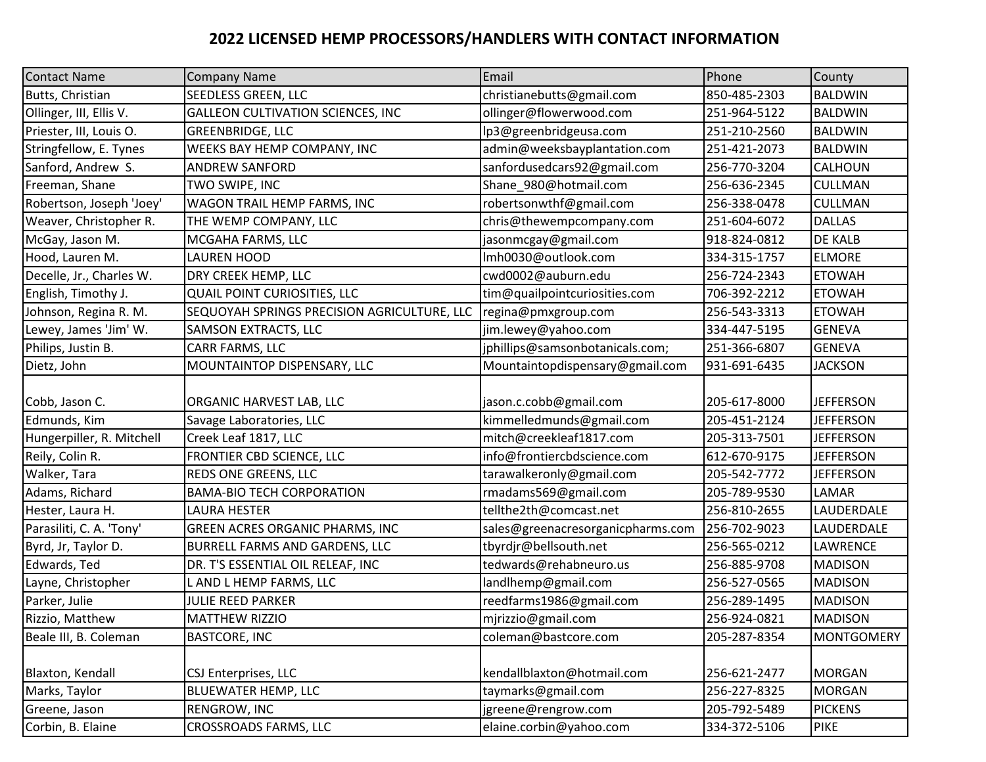## **2022 LICENSED HEMP PROCESSORS/HANDLERS WITH CONTACT INFORMATION**

| <b>Contact Name</b>       | <b>Company Name</b>                         | Email                             | Phone        | County            |
|---------------------------|---------------------------------------------|-----------------------------------|--------------|-------------------|
| Butts, Christian          | SEEDLESS GREEN, LLC                         | christianebutts@gmail.com         | 850-485-2303 | <b>BALDWIN</b>    |
| Ollinger, III, Ellis V.   | <b>GALLEON CULTIVATION SCIENCES, INC</b>    | ollinger@flowerwood.com           | 251-964-5122 | <b>BALDWIN</b>    |
| Priester, III, Louis O.   | <b>GREENBRIDGE, LLC</b>                     | lp3@greenbridgeusa.com            | 251-210-2560 | <b>BALDWIN</b>    |
| Stringfellow, E. Tynes    | WEEKS BAY HEMP COMPANY, INC                 | admin@weeksbayplantation.com      | 251-421-2073 | <b>BALDWIN</b>    |
| Sanford, Andrew S.        | <b>ANDREW SANFORD</b>                       | sanfordusedcars92@gmail.com       | 256-770-3204 | CALHOUN           |
| Freeman, Shane            | TWO SWIPE, INC                              | Shane_980@hotmail.com             | 256-636-2345 | <b>CULLMAN</b>    |
| Robertson, Joseph 'Joey'  | WAGON TRAIL HEMP FARMS, INC                 | robertsonwthf@gmail.com           | 256-338-0478 | <b>CULLMAN</b>    |
| Weaver, Christopher R.    | THE WEMP COMPANY, LLC                       | chris@thewempcompany.com          | 251-604-6072 | <b>DALLAS</b>     |
| McGay, Jason M.           | MCGAHA FARMS, LLC                           | jasonmcgay@gmail.com              | 918-824-0812 | DE KALB           |
| Hood, Lauren M.           | <b>LAUREN HOOD</b>                          | Imh0030@outlook.com               | 334-315-1757 | <b>ELMORE</b>     |
| Decelle, Jr., Charles W.  | DRY CREEK HEMP, LLC                         | cwd0002@auburn.edu                | 256-724-2343 | <b>ETOWAH</b>     |
| English, Timothy J.       | QUAIL POINT CURIOSITIES, LLC                | tim@quailpointcuriosities.com     | 706-392-2212 | <b>ETOWAH</b>     |
| Johnson, Regina R. M.     | SEQUOYAH SPRINGS PRECISION AGRICULTURE, LLC | regina@pmxgroup.com               | 256-543-3313 | <b>ETOWAH</b>     |
| Lewey, James 'Jim' W.     | SAMSON EXTRACTS, LLC                        | jim.lewey@yahoo.com               | 334-447-5195 | <b>GENEVA</b>     |
| Philips, Justin B.        | CARR FARMS, LLC                             | jphillips@samsonbotanicals.com;   | 251-366-6807 | <b>GENEVA</b>     |
| Dietz, John               | MOUNTAINTOP DISPENSARY, LLC                 | Mountaintopdispensary@gmail.com   | 931-691-6435 | <b>JACKSON</b>    |
| Cobb, Jason C.            | ORGANIC HARVEST LAB, LLC                    | jason.c.cobb@gmail.com            | 205-617-8000 | <b>JEFFERSON</b>  |
| Edmunds, Kim              | Savage Laboratories, LLC                    | kimmelledmunds@gmail.com          | 205-451-2124 | <b>JEFFERSON</b>  |
| Hungerpiller, R. Mitchell | Creek Leaf 1817, LLC                        | mitch@creekleaf1817.com           | 205-313-7501 | <b>JEFFERSON</b>  |
| Reily, Colin R.           | FRONTIER CBD SCIENCE, LLC                   | info@frontiercbdscience.com       | 612-670-9175 | <b>JEFFERSON</b>  |
| Walker, Tara              | REDS ONE GREENS, LLC                        | tarawalkeronly@gmail.com          | 205-542-7772 | <b>JEFFERSON</b>  |
| Adams, Richard            | <b>BAMA-BIO TECH CORPORATION</b>            | rmadams569@gmail.com              | 205-789-9530 | LAMAR             |
| Hester, Laura H.          | <b>LAURA HESTER</b>                         | tellthe2th@comcast.net            | 256-810-2655 | LAUDERDALE        |
| Parasiliti, C. A. 'Tony'  | GREEN ACRES ORGANIC PHARMS, INC             | sales@greenacresorganicpharms.com | 256-702-9023 | LAUDERDALE        |
| Byrd, Jr, Taylor D.       | BURRELL FARMS AND GARDENS, LLC              | tbyrdjr@bellsouth.net             | 256-565-0212 | <b>LAWRENCE</b>   |
| Edwards, Ted              | DR. T'S ESSENTIAL OIL RELEAF, INC           | tedwards@rehabneuro.us            | 256-885-9708 | <b>MADISON</b>    |
| Layne, Christopher        | L AND L HEMP FARMS, LLC                     | landlhemp@gmail.com               | 256-527-0565 | <b>MADISON</b>    |
| Parker, Julie             | JULIE REED PARKER                           | reedfarms1986@gmail.com           | 256-289-1495 | <b>MADISON</b>    |
| Rizzio, Matthew           | <b>MATTHEW RIZZIO</b>                       | mjrizzio@gmail.com                | 256-924-0821 | <b>MADISON</b>    |
| Beale III, B. Coleman     | <b>BASTCORE, INC</b>                        | coleman@bastcore.com              | 205-287-8354 | <b>MONTGOMERY</b> |
| Blaxton, Kendall          | CSJ Enterprises, LLC                        | kendallblaxton@hotmail.com        | 256-621-2477 | <b>MORGAN</b>     |
| Marks, Taylor             | <b>BLUEWATER HEMP, LLC</b>                  | taymarks@gmail.com                | 256-227-8325 | <b>MORGAN</b>     |
| Greene, Jason             | RENGROW, INC                                | jgreene@rengrow.com               | 205-792-5489 | <b>PICKENS</b>    |
| Corbin, B. Elaine         | <b>CROSSROADS FARMS, LLC</b>                | elaine.corbin@yahoo.com           | 334-372-5106 | <b>PIKE</b>       |